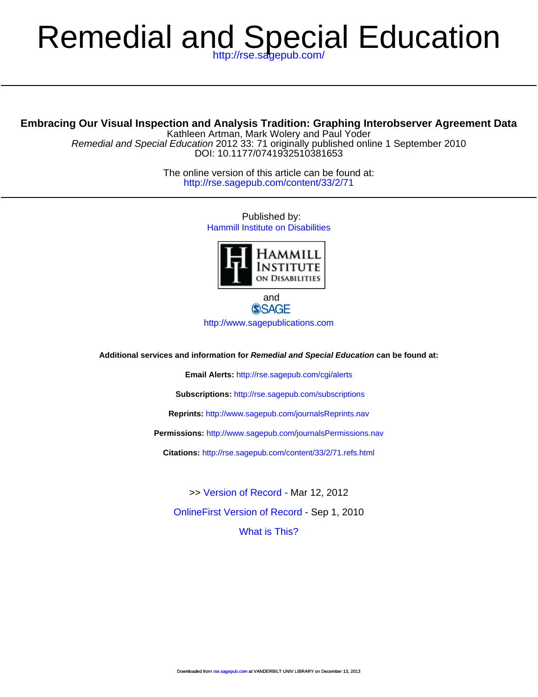# Remedial and [Special](http://rse.sagepub.com/cgi/alerts) Education

# **Embracing Our Visual Inspection an[d Analysis Tradition: Graphing In](http://www.sagepub.com/journalsReprints.nav)terobserver Agreement Data**

D[OI: 10.1177/0741932510381653](http://www.sagepub.com/journalsPermissions.nav) Remedial and Special Education 2012 33: 71 originally published online 1 September 2010 Kathleen Artman, Mark Wolery and Paul Yoder

> <http://rse.sagepub.com/content/33/2/71> The online version of this article can be found at:

> > Published by: [Hammill Institute on Disabilities](http://www.hammill-institute.org/)



[and](http://rse.sagepub.com/content/early/2010/08/31/0741932510381653.full.pdf) **SSAGE** <http://www.sagepublications.com>

**Additional services and information for Remedial and Special Education can be found at:**

**Email Alerts:** <http://rse.sagepub.com/cgi/alerts>

**Subscriptions:** <http://rse.sagepub.com/subscriptions>

**Reprints:** <http://www.sagepub.com/journalsReprints.nav>

**Permissions:** <http://www.sagepub.com/journalsPermissions.nav>

**Citations:** <http://rse.sagepub.com/content/33/2/71.refs.html>

[What is This?](http://online.sagepub.com/site/sphelp/vorhelp.xhtml) [OnlineFirst Version of Record](http://rse.sagepub.com/content/early/2010/08/31/0741932510381653.full.pdf) - Sep 1, 2010 >> [Version of Record -](http://rse.sagepub.com/content/33/2/71.full.pdf) Mar 12, 2012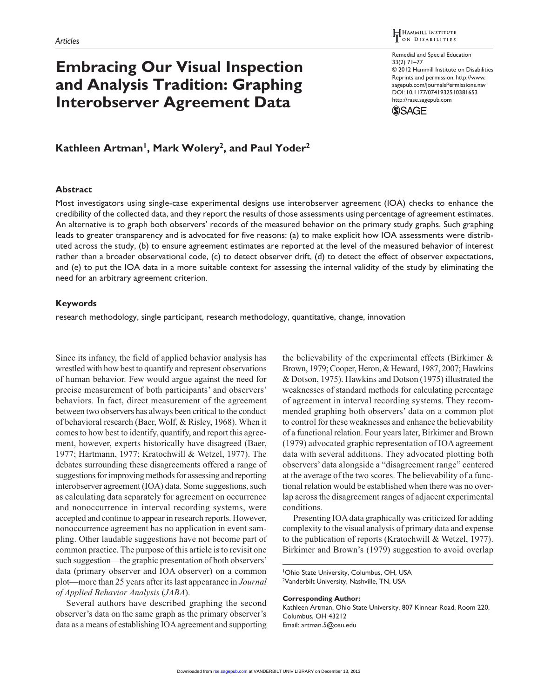# **Embracing Our Visual Inspection and Analysis Tradition: Graphing Interobserver Agreement Data**

Remedial and Special Education 33(2) 71–77 © 2012 Hammill Institute on Disabilities Reprints and permission: http://www. sagepub.com/journalsPermissions.nav DOI: 10.1177/0741932510381653 http://rase.sagepub.com



**Kathleen Artman1 , Mark Wolery2 , and Paul Yoder2**

## **Abstract**

Most investigators using single-case experimental designs use interobserver agreement (IOA) checks to enhance the credibility of the collected data, and they report the results of those assessments using percentage of agreement estimates. An alternative is to graph both observers' records of the measured behavior on the primary study graphs. Such graphing leads to greater transparency and is advocated for five reasons: (a) to make explicit how IOA assessments were distributed across the study, (b) to ensure agreement estimates are reported at the level of the measured behavior of interest rather than a broader observational code, (c) to detect observer drift, (d) to detect the effect of observer expectations, and (e) to put the IOA data in a more suitable context for assessing the internal validity of the study by eliminating the need for an arbitrary agreement criterion.

## **Keywords**

research methodology, single participant, research methodology, quantitative, change, innovation

Since its infancy, the field of applied behavior analysis has wrestled with how best to quantify and represent observations of human behavior. Few would argue against the need for precise measurement of both participants' and observers' behaviors. In fact, direct measurement of the agreement between two observers has always been critical to the conduct of behavioral research (Baer, Wolf, & Risley, 1968). When it comes to how best to identify, quantify, and report this agreement, however, experts historically have disagreed (Baer, 1977; Hartmann, 1977; Kratochwill & Wetzel, 1977). The debates surrounding these disagreements offered a range of suggestions for improving methods for assessing and reporting interobserver agreement (IOA) data. Some suggestions, such as calculating data separately for agreement on occurrence and nonoccurrence in interval recording systems, were accepted and continue to appear in research reports. However, nonoccurrence agreement has no application in event sampling. Other laudable suggestions have not become part of common practice. The purpose of this article is to revisit one such suggestion—the graphic presentation of both observers' data (primary observer and IOA observer) on a common plot—more than 25 years after its last appearance in *Journal of Applied Behavior Analysis* (*JABA*).

Several authors have described graphing the second observer's data on the same graph as the primary observer's data as a means of establishing IOA agreement and supporting

the believability of the experimental effects (Birkimer & Brown, 1979; Cooper, Heron, & Heward, 1987, 2007; Hawkins & Dotson, 1975). Hawkins and Dotson (1975) illustrated the weaknesses of standard methods for calculating percentage of agreement in interval recording systems. They recommended graphing both observers' data on a common plot to control for these weaknesses and enhance the believability of a functional relation. Four years later, Birkimer and Brown (1979) advocated graphic representation of IOA agreement data with several additions. They advocated plotting both observers' data alongside a "disagreement range" centered at the average of the two scores. The believability of a functional relation would be established when there was no overlap across the disagreement ranges of adjacent experimental conditions.

Presenting IOA data graphically was criticized for adding complexity to the visual analysis of primary data and expense to the publication of reports (Kratochwill & Wetzel, 1977). Birkimer and Brown's (1979) suggestion to avoid overlap

#### **Corresponding Author:**

Kathleen Artman, Ohio State University, 807 Kinnear Road, Room 220, Columbus, OH 43212 Email: artman.5@osu.edu

<sup>1</sup> Ohio State University, Columbus, OH, USA <sup>2</sup>Vanderbilt University, Nashville, TN, USA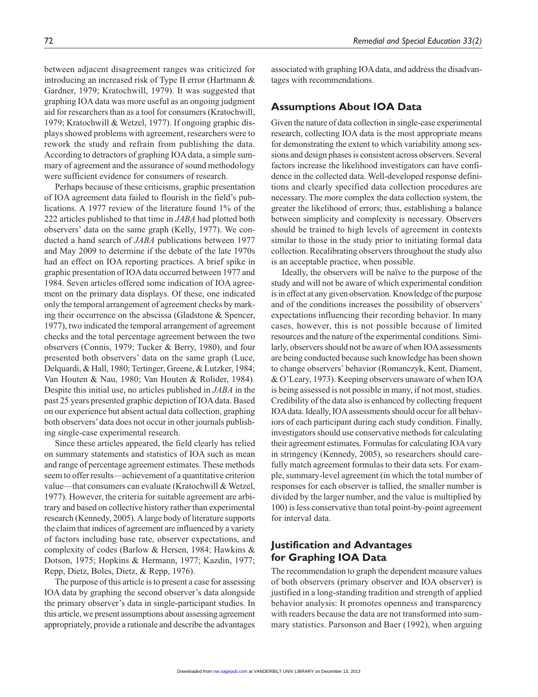between adjacent disagreement ranges was criticized for introducing an increased risk of Type II error (Hartmann & Gardner, 1979; Kratochwill, 1979). It was suggested that graphing IOA data was more useful as an ongoing judgment aid for researchers than as a tool for consumers (Kratochwill, 1979; Kratochwill & Wetzel, 1977). If ongoing graphic displays showed problems with agreement, researchers were to rework the study and refrain from publishing the data. According to detractors of graphing IOA data, a simple summary of agreement and the assurance of sound methodology were sufficient evidence for consumers of research.

Perhaps because of these criticisms, graphic presentation of IOA agreement data failed to flourish in the field's publications. A 1977 review of the literature found 1% of the 222 articles published to that time in *JABA* had plotted both observers' data on the same graph (Kelly, 1977). We conducted a hand search of *JABA* publications between 1977 and May 2009 to determine if the debate of the late 1970s had an effect on IOA reporting practices. A brief spike in graphic presentation of IOA data occurred between 1977 and 1984. Seven articles offered some indication of IOA agreement on the primary data displays. Of these, one indicated only the temporal arrangement of agreement checks by marking their occurrence on the abscissa (Gladstone & Spencer, 1977), two indicated the temporal arrangement of agreement checks and the total percentage agreement between the two observers (Connis, 1979; Tucker & Berry, 1980), and four presented both observers' data on the same graph (Luce, Delquardi, & Hall, 1980; Tertinger, Greene, & Lutzker, 1984; Van Houten & Nau, 1980; Van Houten & Rolider, 1984). Despite this initial use, no articles published in *JABA* in the past 25 years presented graphic depiction of IOA data. Based on our experience but absent actual data collection, graphing both observers' data does not occur in other journals publishing single-case experimental research.

Since these articles appeared, the field clearly has relied on summary statements and statistics of IOA such as mean and range of percentage agreement estimates. These methods seem to offer results—achievement of a quantitative criterion value—that consumers can evaluate (Kratochwill & Wetzel, 1977). However, the criteria for suitable agreement are arbitrary and based on collective history rather than experimental research (Kennedy, 2005). A large body of literature supports the claim that indices of agreement are influenced by a variety of factors including base rate, observer expectations, and complexity of codes (Barlow & Hersen, 1984; Hawkins & Dotson, 1975; Hopkins & Hermann, 1977; Kazdin, 1977; Repp, Dietz, Boles, Dietz, & Repp, 1976).

The purpose of this article is to present a case for assessing IOA data by graphing the second observer's data alongside the primary observer's data in single-participant studies. In this article, we present assumptions about assessing agreement appropriately, provide a rationale and describe the advantages

associated with graphing IOA data, and address the disadvantages with recommendations.

# **Assumptions About IOA Data**

Given the nature of data collection in single-case experimental research, collecting IOA data is the most appropriate means for demonstrating the extent to which variability among sessions and design phases is consistent across observers. Several factors increase the likelihood investigators can have confidence in the collected data. Well-developed response definitions and clearly specified data collection procedures are necessary. The more complex the data collection system, the greater the likelihood of errors; thus, establishing a balance between simplicity and complexity is necessary. Observers should be trained to high levels of agreement in contexts similar to those in the study prior to initiating formal data collection. Recalibrating observers throughout the study also is an acceptable practice, when possible.

Ideally, the observers will be naïve to the purpose of the study and will not be aware of which experimental condition is in effect at any given observation. Knowledge of the purpose and of the conditions increases the possibility of observers' expectations influencing their recording behavior. In many cases, however, this is not possible because of limited resources and the nature of the experimental conditions. Similarly, observers should not be aware of when IOA assessments are being conducted because such knowledge has been shown to change observers' behavior (Romanczyk, Kent, Diament, & O'Leary, 1973). Keeping observers unaware of when IOA is being assessed is not possible in many, if not most, studies. Credibility of the data also is enhanced by collecting frequent IOA data. Ideally, IOA assessments should occur for all behaviors of each participant during each study condition. Finally, investigators should use conservative methods for calculating their agreement estimates. Formulas for calculating IOA vary in stringency (Kennedy, 2005), so researchers should carefully match agreement formulas to their data sets. For example, summary-level agreement (in which the total number of responses for each observer is tallied, the smaller number is divided by the larger number, and the value is multiplied by 100) is less conservative than total point-by-point agreement for interval data.

# **Justification and Advantages for Graphing IOA Data**

The recommendation to graph the dependent measure values of both observers (primary observer and IOA observer) is justified in a long-standing tradition and strength of applied behavior analysis: It promotes openness and transparency with readers because the data are not transformed into summary statistics. Parsonson and Baer (1992), when arguing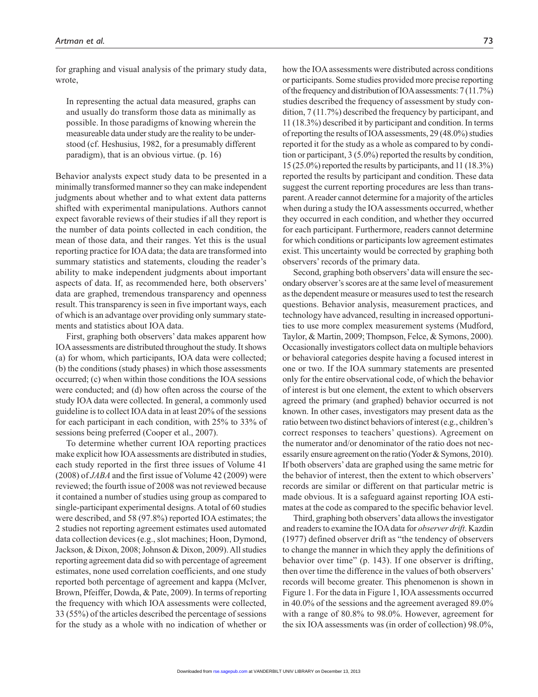for graphing and visual analysis of the primary study data, wrote,

In representing the actual data measured, graphs can and usually do transform those data as minimally as possible. In those paradigms of knowing wherein the measureable data under study are the reality to be understood (cf. Heshusius, 1982, for a presumably different paradigm), that is an obvious virtue. (p. 16)

Behavior analysts expect study data to be presented in a minimally transformed manner so they can make independent judgments about whether and to what extent data patterns shifted with experimental manipulations. Authors cannot expect favorable reviews of their studies if all they report is the number of data points collected in each condition, the mean of those data, and their ranges. Yet this is the usual reporting practice for IOA data; the data are transformed into summary statistics and statements, clouding the reader's ability to make independent judgments about important aspects of data. If, as recommended here, both observers' data are graphed, tremendous transparency and openness result. This transparency is seen in five important ways, each of which is an advantage over providing only summary statements and statistics about IOA data.

First, graphing both observers' data makes apparent how IOA assessments are distributed throughout the study. It shows (a) for whom, which participants, IOA data were collected; (b) the conditions (study phases) in which those assessments occurred; (c) when within those conditions the IOA sessions were conducted; and (d) how often across the course of the study IOA data were collected. In general, a commonly used guideline is to collect IOA data in at least 20% of the sessions for each participant in each condition, with 25% to 33% of sessions being preferred (Cooper et al., 2007).

To determine whether current IOA reporting practices make explicit how IOA assessments are distributed in studies, each study reported in the first three issues of Volume 41 (2008) of *JABA* and the first issue of Volume 42 (2009) were reviewed; the fourth issue of 2008 was not reviewed because it contained a number of studies using group as compared to single-participant experimental designs. A total of 60 studies were described, and 58 (97.8%) reported IOA estimates; the 2 studies not reporting agreement estimates used automated data collection devices (e.g., slot machines; Hoon, Dymond, Jackson, & Dixon, 2008; Johnson & Dixon, 2009). All studies reporting agreement data did so with percentage of agreement estimates, none used correlation coefficients, and one study reported both percentage of agreement and kappa (McIver, Brown, Pfeiffer, Dowda, & Pate, 2009). In terms of reporting the frequency with which IOA assessments were collected, 33 (55%) of the articles described the percentage of sessions for the study as a whole with no indication of whether or how the IOA assessments were distributed across conditions or participants. Some studies provided more precise reporting of the frequency and distribution of IOA assessments: 7 (11.7%) studies described the frequency of assessment by study condition, 7 (11.7%) described the frequency by participant, and 11 (18.3%) described it by participant and condition. In terms of reporting the results of IOA assessments, 29 (48.0%) studies reported it for the study as a whole as compared to by condition or participant, 3 (5.0%) reported the results by condition, 15 (25.0%) reported the results by participants, and 11 (18.3%) reported the results by participant and condition. These data suggest the current reporting procedures are less than transparent. A reader cannot determine for a majority of the articles when during a study the IOA assessments occurred, whether they occurred in each condition, and whether they occurred for each participant. Furthermore, readers cannot determine for which conditions or participants low agreement estimates exist. This uncertainty would be corrected by graphing both observers' records of the primary data.

Second, graphing both observers' data will ensure the secondary observer's scores are at the same level of measurement as the dependent measure or measures used to test the research questions. Behavior analysis, measurement practices, and technology have advanced, resulting in increased opportunities to use more complex measurement systems (Mudford, Taylor, & Martin, 2009; Thompson, Felce, & Symons, 2000). Occasionally investigators collect data on multiple behaviors or behavioral categories despite having a focused interest in one or two. If the IOA summary statements are presented only for the entire observational code, of which the behavior of interest is but one element, the extent to which observers agreed the primary (and graphed) behavior occurred is not known. In other cases, investigators may present data as the ratio between two distinct behaviors of interest (e.g., children's correct responses to teachers' questions). Agreement on the numerator and/or denominator of the ratio does not necessarily ensure agreement on the ratio (Yoder & Symons, 2010). If both observers' data are graphed using the same metric for the behavior of interest, then the extent to which observers' records are similar or different on that particular metric is made obvious. It is a safeguard against reporting IOA estimates at the code as compared to the specific behavior level.

Third, graphing both observers' data allows the investigator and readers to examine the IOA data for *observer drift*. Kazdin (1977) defined observer drift as "the tendency of observers to change the manner in which they apply the definitions of behavior over time" (p. 143). If one observer is drifting, then over time the difference in the values of both observers' records will become greater. This phenomenon is shown in Figure 1. For the data in Figure 1, IOA assessments occurred in 40.0% of the sessions and the agreement averaged 89.0% with a range of 80.8% to 98.0%. However, agreement for the six IOA assessments was (in order of collection) 98.0%,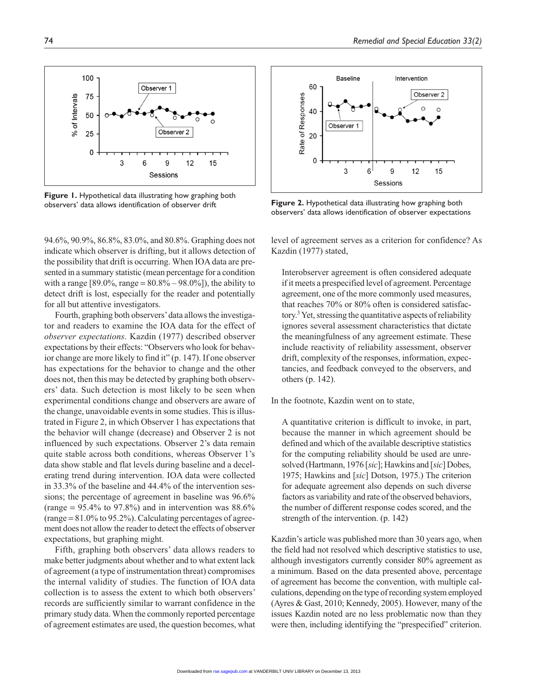75 % of Intervals 50 25 Observer 2  $\mathbf 0$ 3 6 9  $12$ 15 Sessions

Observer 1

**Figure 1.** Hypothetical data illustrating how graphing both observers' data allows identification of observer drift **Figure 2.** Hypothetical data illustrating how graphing both

94.6%, 90.9%, 86.8%, 83.0%, and 80.8%. Graphing does not indicate which observer is drifting, but it allows detection of the possibility that drift is occurring. When IOA data are presented in a summary statistic (mean percentage for a condition with a range [89.0%, range =  $80.8\% - 98.0\%$ ]), the ability to detect drift is lost, especially for the reader and potentially for all but attentive investigators.

Fourth, graphing both observers' data allows the investigator and readers to examine the IOA data for the effect of *observer expectations*. Kazdin (1977) described observer expectations by their effects: "Observers who look for behavior change are more likely to find it" (p. 147). If one observer has expectations for the behavior to change and the other does not, then this may be detected by graphing both observers' data. Such detection is most likely to be seen when experimental conditions change and observers are aware of the change, unavoidable events in some studies. This is illustrated in Figure 2, in which Observer 1 has expectations that the behavior will change (decrease) and Observer 2 is not influenced by such expectations. Observer 2's data remain quite stable across both conditions, whereas Observer 1's data show stable and flat levels during baseline and a decelerating trend during intervention. IOA data were collected in 33.3% of the baseline and 44.4% of the intervention sessions; the percentage of agreement in baseline was 96.6% (range =  $95.4\%$  to  $97.8\%$ ) and in intervention was  $88.6\%$  $(range = 81.0\%$  to 95.2%). Calculating percentages of agreement does not allow the reader to detect the effects of observer expectations, but graphing might.

Fifth, graphing both observers' data allows readers to make better judgments about whether and to what extent lack of agreement (a type of instrumentation threat) compromises the internal validity of studies. The function of IOA data collection is to assess the extent to which both observers' records are sufficiently similar to warrant confidence in the primary study data. When the commonly reported percentage of agreement estimates are used, the question becomes, what



observers' data allows identification of observer expectations

level of agreement serves as a criterion for confidence? As Kazdin (1977) stated,

Interobserver agreement is often considered adequate if it meets a prespecified level of agreement. Percentage agreement, one of the more commonly used measures, that reaches 70% or 80% often is considered satisfactory.3 Yet, stressing the quantitative aspects of reliability ignores several assessment characteristics that dictate the meaningfulness of any agreement estimate. These include reactivity of reliability assessment, observer drift, complexity of the responses, information, expectancies, and feedback conveyed to the observers, and others (p. 142).

In the footnote, Kazdin went on to state,

A quantitative criterion is difficult to invoke, in part, because the manner in which agreement should be defined and which of the available descriptive statistics for the computing reliability should be used are unresolved (Hartmann, 1976 [*sic*]; Hawkins and [*sic*] Dobes, 1975; Hawkins and [*sic*] Dotson, 1975.) The criterion for adequate agreement also depends on such diverse factors as variability and rate of the observed behaviors, the number of different response codes scored, and the strength of the intervention. (p. 142)

Kazdin's article was published more than 30 years ago, when the field had not resolved which descriptive statistics to use, although investigators currently consider 80% agreement as a minimum. Based on the data presented above, percentage of agreement has become the convention, with multiple calculations, depending on the type of recording system employed (Ayres & Gast, 2010; Kennedy, 2005). However, many of the issues Kazdin noted are no less problematic now than they were then, including identifying the "prespecified" criterion.

100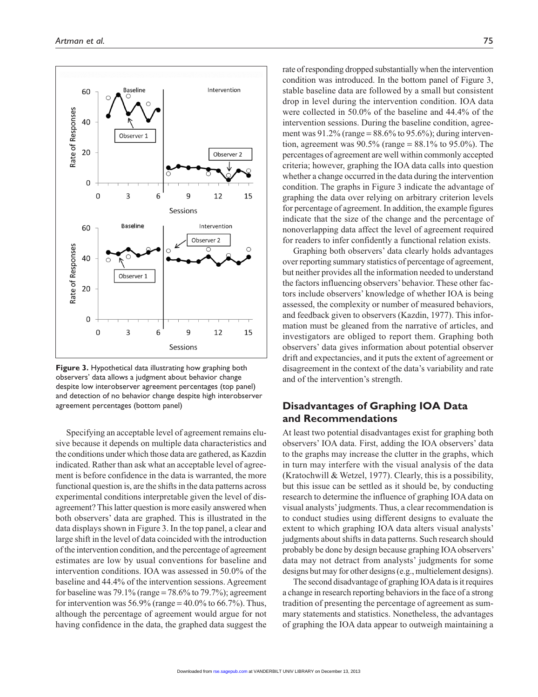

**Figure 3.** Hypothetical data illustrating how graphing both observers' data allows a judgment about behavior change despite low interobserver agreement percentages (top panel) and detection of no behavior change despite high interobserver agreement percentages (bottom panel)

Specifying an acceptable level of agreement remains elusive because it depends on multiple data characteristics and the conditions under which those data are gathered, as Kazdin indicated. Rather than ask what an acceptable level of agreement is before confidence in the data is warranted, the more functional question is, are the shifts in the data patterns across experimental conditions interpretable given the level of disagreement? This latter question is more easily answered when both observers' data are graphed. This is illustrated in the data displays shown in Figure 3. In the top panel, a clear and large shift in the level of data coincided with the introduction of the intervention condition, and the percentage of agreement estimates are low by usual conventions for baseline and intervention conditions. IOA was assessed in 50.0% of the baseline and 44.4% of the intervention sessions. Agreement for baseline was  $79.1\%$  (range =  $78.6\%$  to  $79.7\%$ ); agreement for intervention was  $56.9\%$  (range =  $40.0\%$  to  $66.7\%$ ). Thus, although the percentage of agreement would argue for not having confidence in the data, the graphed data suggest the

rate of responding dropped substantially when the intervention condition was introduced. In the bottom panel of Figure 3, stable baseline data are followed by a small but consistent drop in level during the intervention condition. IOA data were collected in 50.0% of the baseline and 44.4% of the intervention sessions. During the baseline condition, agreement was  $91.2\%$  (range =  $88.6\%$  to  $95.6\%$ ); during intervention, agreement was  $90.5\%$  (range =  $88.1\%$  to  $95.0\%$ ). The percentages of agreement are well within commonly accepted criteria; however, graphing the IOA data calls into question whether a change occurred in the data during the intervention condition. The graphs in Figure 3 indicate the advantage of graphing the data over relying on arbitrary criterion levels for percentage of agreement. In addition, the example figures indicate that the size of the change and the percentage of nonoverlapping data affect the level of agreement required for readers to infer confidently a functional relation exists.

Graphing both observers' data clearly holds advantages over reporting summary statistics of percentage of agreement, but neither provides all the information needed to understand the factors influencing observers' behavior. These other factors include observers' knowledge of whether IOA is being assessed, the complexity or number of measured behaviors, and feedback given to observers (Kazdin, 1977). This information must be gleaned from the narrative of articles, and investigators are obliged to report them. Graphing both observers' data gives information about potential observer drift and expectancies, and it puts the extent of agreement or disagreement in the context of the data's variability and rate and of the intervention's strength.

# **Disadvantages of Graphing IOA Data and Recommendations**

At least two potential disadvantages exist for graphing both observers' IOA data. First, adding the IOA observers' data to the graphs may increase the clutter in the graphs, which in turn may interfere with the visual analysis of the data (Kratochwill & Wetzel, 1977). Clearly, this is a possibility, but this issue can be settled as it should be, by conducting research to determine the influence of graphing IOA data on visual analysts' judgments. Thus, a clear recommendation is to conduct studies using different designs to evaluate the extent to which graphing IOA data alters visual analysts' judgments about shifts in data patterns. Such research should probably be done by design because graphing IOA observers' data may not detract from analysts' judgments for some designs but may for other designs (e.g., multielement designs).

The second disadvantage of graphing IOA data is it requires a change in research reporting behaviors in the face of a strong tradition of presenting the percentage of agreement as summary statements and statistics. Nonetheless, the advantages of graphing the IOA data appear to outweigh maintaining a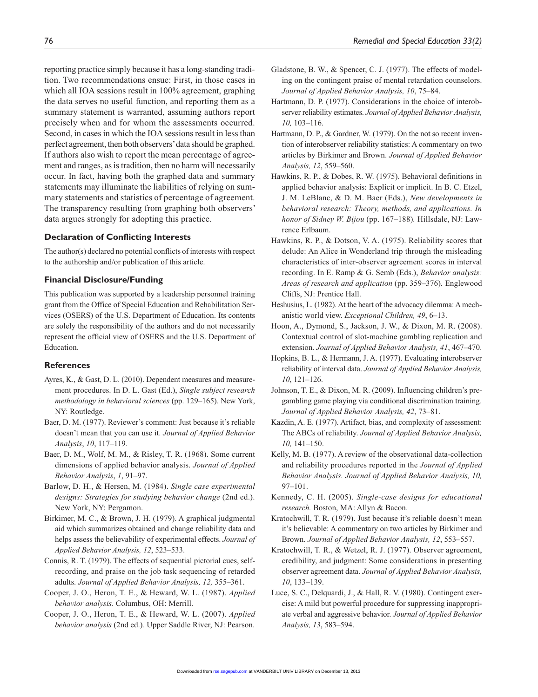reporting practice simply because it has a long-standing tradition. Two recommendations ensue: First, in those cases in which all IOA sessions result in 100% agreement, graphing the data serves no useful function, and reporting them as a summary statement is warranted, assuming authors report precisely when and for whom the assessments occurred. Second, in cases in which the IOA sessions result in less than perfect agreement, then both observers' data should be graphed. If authors also wish to report the mean percentage of agreement and ranges, as is tradition, then no harm will necessarily occur. In fact, having both the graphed data and summary statements may illuminate the liabilities of relying on summary statements and statistics of percentage of agreement. The transparency resulting from graphing both observers' data argues strongly for adopting this practice.

# **Declaration of Conflicting Interests**

The author(s) declared no potential conflicts of interests with respect to the authorship and/or publication of this article.

# **Financial Disclosure/Funding**

This publication was supported by a leadership personnel training grant from the Office of Special Education and Rehabilitation Services (OSERS) of the U.S. Department of Education. Its contents are solely the responsibility of the authors and do not necessarily represent the official view of OSERS and the U.S. Department of Education.

#### **References**

- Ayres, K., & Gast, D. L. (2010). Dependent measures and measurement procedures. In D. L. Gast (Ed.), *Single subject research methodology in behavioral sciences* (pp. 129–165)*.* New York, NY: Routledge.
- Baer, D. M. (1977). Reviewer's comment: Just because it's reliable doesn't mean that you can use it. *Journal of Applied Behavior Analysis*, *10*, 117–119.
- Baer, D. M., Wolf, M. M., & Risley, T. R. (1968). Some current dimensions of applied behavior analysis. *Journal of Applied Behavior Analysis*, *1*, 91–97.
- Barlow, D. H., & Hersen, M. (1984). *Single case experimental designs: Strategies for studying behavior change* (2nd ed.). New York, NY: Pergamon.
- Birkimer, M. C., & Brown, J. H. (1979). A graphical judgmental aid which summarizes obtained and change reliability data and helps assess the believability of experimental effects. *Journal of Applied Behavior Analysis, 12*, 523–533.
- Connis, R. T. (1979). The effects of sequential pictorial cues, selfrecording, and praise on the job task sequencing of retarded adults. *Journal of Applied Behavior Analysis, 12,* 355–361.
- Cooper, J. O., Heron, T. E., & Heward, W. L. (1987). *Applied behavior analysis.* Columbus, OH: Merrill.
- Cooper, J. O., Heron, T. E., & Heward, W. L. (2007). *Applied behavior analysis* (2nd ed.)*.* Upper Saddle River, NJ: Pearson.
- Gladstone, B. W., & Spencer, C. J. (1977). The effects of modeling on the contingent praise of mental retardation counselors. *Journal of Applied Behavior Analysis, 10*, 75–84.
- Hartmann, D. P. (1977). Considerations in the choice of interobserver reliability estimates. *Journal of Applied Behavior Analysis, 10,* 103–116.
- Hartmann, D. P., & Gardner, W. (1979). On the not so recent invention of interobserver reliability statistics: A commentary on two articles by Birkimer and Brown. *Journal of Applied Behavior Analysis, 12*, 559–560.
- Hawkins, R. P., & Dobes, R. W. (1975). Behavioral definitions in applied behavior analysis: Explicit or implicit. In B. C. Etzel, J. M. LeBlanc, & D. M. Baer (Eds.), *New developments in behavioral research: Theory, methods, and applications. In honor of Sidney W. Bijou* (pp. 167–188)*.* Hillsdale, NJ: Lawrence Erlbaum.
- Hawkins, R. P., & Dotson, V. A. (1975). Reliability scores that delude: An Alice in Wonderland trip through the misleading characteristics of inter-observer agreement scores in interval recording. In E. Ramp & G. Semb (Eds.), *Behavior analysis: Areas of research and application* (pp. 359–376)*.* Englewood Cliffs, NJ: Prentice Hall.
- Heshusius, L. (1982). At the heart of the advocacy dilemma: A mechanistic world view. *Exceptional Children, 49*, 6–13.
- Hoon, A., Dymond, S., Jackson, J. W., & Dixon, M. R. (2008). Contextual control of slot-machine gambling replication and extension. *Journal of Applied Behavior Analysis, 41*, 467–470.
- Hopkins, B. L., & Hermann, J. A. (1977). Evaluating interobserver reliability of interval data. *Journal of Applied Behavior Analysis, 10*, 121–126.
- Johnson, T. E., & Dixon, M. R. (2009). Influencing children's pregambling game playing via conditional discrimination training. *Journal of Applied Behavior Analysis, 42*, 73–81.
- Kazdin, A. E. (1977). Artifact, bias, and complexity of assessment: The ABCs of reliability. *Journal of Applied Behavior Analysis, 10,* 141–150.
- Kelly, M. B. (1977). A review of the observational data-collection and reliability procedures reported in the *Journal of Applied Behavior Analysis. Journal of Applied Behavior Analysis, 10,* 97–101.
- Kennedy, C. H. (2005). *Single-case designs for educational research.* Boston, MA: Allyn & Bacon.
- Kratochwill, T. R. (1979). Just because it's reliable doesn't mean it's believable: A commentary on two articles by Birkimer and Brown. *Journal of Applied Behavior Analysis, 12*, 553–557.
- Kratochwill, T. R., & Wetzel, R. J. (1977). Observer agreement, credibility, and judgment: Some considerations in presenting observer agreement data. *Journal of Applied Behavior Analysis, 10*, 133–139.
- Luce, S. C., Delquardi, J., & Hall, R. V. (1980). Contingent exercise: A mild but powerful procedure for suppressing inappropriate verbal and aggressive behavior. *Journal of Applied Behavior Analysis, 13*, 583–594.